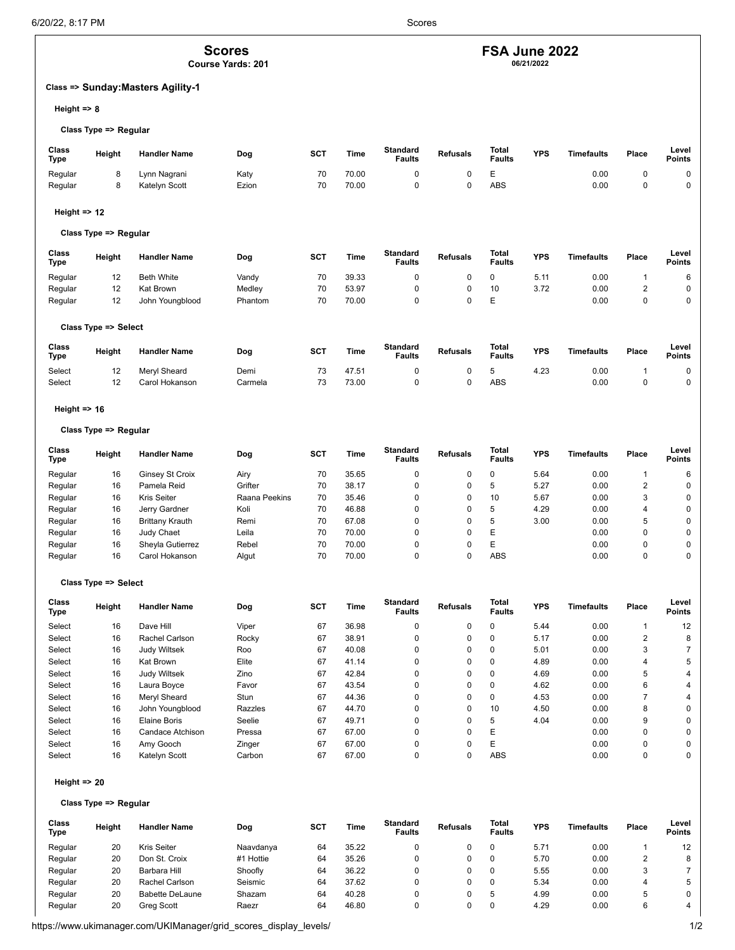# **Scores**

**Course Yards: 201**

# **Class => Sunday:Masters Agility-1**

**Height => 8**

#### **Class Type => Regular**

| Class<br>Type | Height | <b>Handler Name</b> | Dog   | SCT | Time  | <b>Standard</b><br>Faults | <b>Refusals</b> | Total<br><b>Faults</b> | <b>YPS</b> | <b>Timefaults</b> | Place | Level<br><b>Points</b> |
|---------------|--------|---------------------|-------|-----|-------|---------------------------|-----------------|------------------------|------------|-------------------|-------|------------------------|
| Regular       |        | Lynn Nagrani        | Katy  | 70  | 70.00 |                           |                 | -                      |            | 0.00              |       |                        |
| Regular       |        | Katelyn Scott       | Ezion | 70  | 70.00 |                           |                 | ABS                    |            | 0.00              |       |                        |

## **Height => 12**

# **Class Type => Regular**

| Class<br><b>Type</b> | Height | <b>Handler Name</b> | Dog     | <b>SCT</b> | Time  | Standard<br><b>Faults</b> | <b>Refusals</b> | Total<br><b>Faults</b> | <b>YPS</b> | <b>Timefaults</b> | Place | Level<br><b>Points</b> |
|----------------------|--------|---------------------|---------|------------|-------|---------------------------|-----------------|------------------------|------------|-------------------|-------|------------------------|
| Regular              | 12     | <b>Beth White</b>   | Vandy   | 70         | 39.33 |                           |                 |                        | 5.11       | 0.00              |       |                        |
| Regular              | 12     | Kat Brown           | Medlev  | 70         | 53.97 |                           |                 | 10                     | 3.72       | 0.00              |       | 0                      |
| Regular              | 12     | John Youngblood     | Phantom | 70         | 70.00 |                           |                 | ⊢<br>┕                 |            | 0.00              |       | 0                      |

## **Class Type => Select**

| Class<br>Type | Height | <b>Handler Name</b> | Dog     | <b>SCT</b> | Time  | <b>Standard</b><br><b>Faults</b> | <b>Refusals</b> | Total<br><b>Faults</b> | <b>YPS</b> | <b>Timefaults</b> | Place | Level<br><b>Points</b> |
|---------------|--------|---------------------|---------|------------|-------|----------------------------------|-----------------|------------------------|------------|-------------------|-------|------------------------|
| Select        | 12     | Mervl Sheard        | Demi    |            | 47.51 |                                  |                 |                        | 4.23       | 0.00              |       |                        |
| Select        | 12     | Carol Hokanson      | Carmela | 72         | 73.00 |                                  |                 | ABS                    |            | 0.00              |       |                        |

#### **Height => 16**

#### **Class Type => Regular**

| <b>Class</b><br>Type | Height | <b>Handler Name</b>    | Dog           | <b>SCT</b> | Time  | <b>Standard</b><br><b>Faults</b> | <b>Refusals</b> | Total<br><b>Faults</b> | <b>YPS</b> | Timefaults | Place | Level<br><b>Points</b> |
|----------------------|--------|------------------------|---------------|------------|-------|----------------------------------|-----------------|------------------------|------------|------------|-------|------------------------|
| Regular              | 16     | Ginsey St Croix        | Airy          | 70         | 35.65 |                                  |                 | 0                      | 5.64       | 0.00       |       | 6                      |
| Regular              | 16     | Pamela Reid            | Grifter       | 70         | 38.17 |                                  |                 | b                      | 5.27       | 0.00       |       | 0                      |
| Regular              | 16     | <b>Kris Seiter</b>     | Raana Peekins | 70         | 35.46 |                                  |                 | 10                     | 5.67       | 0.00       |       | 0                      |
| Regular              | 16     | Jerry Gardner          | Koli          | 70         | 46.88 |                                  |                 | 5                      | 4.29       | 0.00       |       | 0                      |
| Regular              | 16     | <b>Brittany Krauth</b> | Remi          | 70         | 67.08 | 0                                |                 | b                      | 3.00       | 0.00       | 5     | 0                      |
| Regular              | 16     | Judy Chaet             | Leila         | 70         | 70.00 |                                  |                 | Е                      |            | 0.00       |       | 0                      |
| Regular              | 16     | Sheyla Gutierrez       | Rebel         | 70         | 70.00 |                                  |                 | Ε                      |            | 0.00       |       | 0                      |
| Regular              | 16     | Carol Hokanson         | Algut         | 70         | 70.00 |                                  |                 | <b>ABS</b>             |            | 0.00       |       | 0                      |

#### **Class Type => Select**

| Class<br>Type | Height | <b>Handler Name</b> | Dog     | SCT | Time  | <b>Standard</b><br><b>Faults</b> | <b>Refusals</b> | Total<br><b>Faults</b> | <b>YPS</b> | <b>Timefaults</b> | Place    | Level<br><b>Points</b> |
|---------------|--------|---------------------|---------|-----|-------|----------------------------------|-----------------|------------------------|------------|-------------------|----------|------------------------|
| Select        | 16     | Dave Hill           | Viper   | 67  | 36.98 | 0                                | 0               | 0                      | 5.44       | 0.00              |          | 12                     |
| Select        | 16     | Rachel Carlson      | Rocky   | 67  | 38.91 | 0                                | 0               | 0                      | 5.17       | 0.00              | 2        | 8                      |
| Select        | 16     | <b>Judy Wiltsek</b> | Roo     | 67  | 40.08 | 0                                | 0               | 0                      | 5.01       | 0.00              | 3        |                        |
| Select        | 16     | Kat Brown           | Elite   | 67  | 41.14 | 0                                | 0               | 0                      | 4.89       | 0.00              | 4        | 5                      |
| Select        | 16     | <b>Judy Wiltsek</b> | Zino    | 67  | 42.84 | $\Omega$                         | 0               | 0                      | 4.69       | 0.00              | 5        | 4                      |
| Select        | 16     | Laura Boyce         | Favor   | 67  | 43.54 | 0                                | 0               | 0                      | 4.62       | 0.00              | 6        | 4                      |
| Select        | 16     | Mervl Sheard        | Stun    | 67  | 44.36 | 0                                | 0               | 0                      | 4.53       | 0.00              |          | 4                      |
| Select        | 16     | John Youngblood     | Razzles | 67  | 44.70 | 0                                | 0               | 10                     | 4.50       | 0.00              | 8        | 0                      |
| Select        | 16     | Elaine Boris        | Seelie  | 67  | 49.71 | $\Omega$                         | 0               | 5                      | 4.04       | 0.00              | 9        | 0                      |
| Select        | 16     | Candace Atchison    | Pressa  | 67  | 67.00 | $\Omega$                         | 0               | Ε                      |            | 0.00              | $\Omega$ | 0                      |
| Select        | 16     | Amy Gooch           | Zinger  | 67  | 67.00 | $\Omega$                         | 0               | Ε                      |            | 0.00              | 0        | 0                      |
| Select        | 16     | Katelyn Scott       | Carbon  | 67  | 67.00 | 0                                |                 | <b>ABS</b>             |            | 0.00              | 0        | 0                      |

#### **Height => 20**

#### **Class Type => Regular**

| Class<br><b>Type</b> | Height | <b>Handler Name</b>    | Dog       | <b>SCT</b> | Time  | Standard<br><b>Faults</b> | <b>Refusals</b> | <b>Total</b><br><b>Faults</b> | <b>YPS</b> | <b>Timefaults</b> | Place | Level<br><b>Points</b> |
|----------------------|--------|------------------------|-----------|------------|-------|---------------------------|-----------------|-------------------------------|------------|-------------------|-------|------------------------|
| Regular              | 20     | <b>Kris Seiter</b>     | Naavdanya | 64         | 35.22 |                           |                 |                               | 5.71       | 0.00              |       | 12                     |
| Regular              | 20     | Don St. Croix          | #1 Hottie | 64         | 35.26 |                           |                 |                               | 5.70       | 0.00              |       |                        |
| Regular              | 20     | Barbara Hill           | Shoofly   | 64         | 36.22 |                           |                 |                               | 5.55       | 0.00              |       |                        |
| Regular              | 20     | Rachel Carlson         | Seismic   | 64         | 37.62 |                           |                 |                               | 5.34       | 0.00              | д     |                        |
| Regular              | 20     | <b>Babette DeLaune</b> | Shazam    | 64         | 40.28 |                           |                 |                               | 4.99       | 0.00              |       |                        |
| Regular              | 20     | <b>Grea Scott</b>      | Raezr     | 64         | 46.80 |                           |                 |                               | 4.29       | 0.00              |       |                        |

# **FSA June 2022**

**06/21/2022**